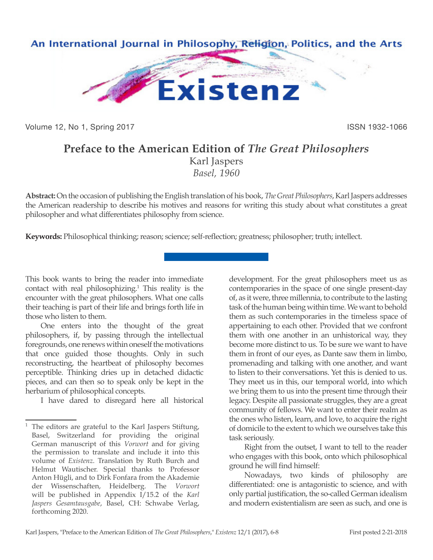

Volume 12, No 1, Spring 2017 **ISSN 1932-1066** 

## **Preface to the American Edition of** *The Great Philosophers*

Karl Jaspers *Basel, 1960*

**Abstract:** On the occasion of publishing the English translation of his book, *The Great Philosophers*, Karl Jaspers addresses the American readership to describe his motives and reasons for writing this study about what constitutes a great philosopher and what differentiates philosophy from science.

**Keywords:** Philosophical thinking; reason; science; self-reflection; greatness; philosopher; truth; intellect.

This book wants to bring the reader into immediate contact with real philosophizing.1 This reality is the encounter with the great philosophers. What one calls their teaching is part of their life and brings forth life in those who listen to them.

One enters into the thought of the great philosophers, if, by passing through the intellectual foregrounds, one renews within oneself the motivations that once guided those thoughts. Only in such reconstructing, the heartbeat of philosophy becomes perceptible. Thinking dries up in detached didactic pieces, and can then so to speak only be kept in the herbarium of philosophical concepts.

I have dared to disregard here all historical

development. For the great philosophers meet us as contemporaries in the space of one single present-day of, as it were, three millennia, to contribute to the lasting task of the human being within time. We want to behold them as such contemporaries in the timeless space of appertaining to each other. Provided that we confront them with one another in an unhistorical way, they become more distinct to us. To be sure we want to have them in front of our eyes, as Dante saw them in limbo, promenading and talking with one another, and want to listen to their conversations. Yet this is denied to us. They meet us in this, our temporal world, into which we bring them to us into the present time through their legacy. Despite all passionate struggles, they are a great community of fellows. We want to enter their realm as the ones who listen, learn, and love, to acquire the right of domicile to the extent to which we ourselves take this task seriously.

Right from the outset, I want to tell to the reader who engages with this book, onto which philosophical ground he will find himself:

Nowadays, two kinds of philosophy are differentiated: one is antagonistic to science, and with only partial justification, the so-called German idealism and modern existentialism are seen as such, and one is

<sup>&</sup>lt;sup>1</sup> The editors are grateful to the Karl Jaspers Stiftung, Basel, Switzerland for providing the original German manuscript of this *Vorwort* and for giving the permission to translate and include it into this volume of *Existenz*. Translation by Ruth Burch and Helmut Wautischer. Special thanks to Professor Anton Hügli, and to Dirk Fonfara from the Akademie der Wissenschaften, Heidelberg. The *Vorwort* will be published in Appendix I/15.2 of the *Karl Jaspers Gesamtausgabe*, Basel, CH: Schwabe Verlag, forthcoming 2020.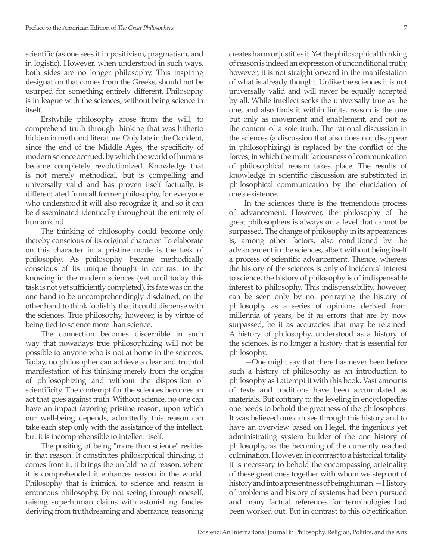scientific (as one sees it in positivism, pragmatism, and in logistic). However, when understood in such ways, both sides are no longer philosophy. This inspiring designation that comes from the Greeks, should not be usurped for something entirely different. Philosophy is in league with the sciences, without being science in itself.

Erstwhile philosophy arose from the will, to comprehend truth through thinking that was hitherto hidden in myth and literature. Only late in the Occident, since the end of the Middle Ages, the specificity of modern science accrued, by which the world of humans became completely revolutionized. Knowledge that is not merely methodical, but is compelling and universally valid and has proven itself factually, is differentiated from all former philosophy, for everyone who understood it will also recognize it, and so it can be disseminated identically throughout the entirety of humankind.

The thinking of philosophy could become only thereby conscious of its original character. To elaborate on this character in a pristine mode is the task of philosophy. As philosophy became methodically conscious of its unique thought in contrast to the knowing in the modern sciences (yet until today this task is not yet sufficiently completed), its fate was on the one hand to be uncomprehendingly disdained, on the other hand to think foolishly that it could dispense with the sciences. True philosophy, however, is by virtue of being tied to science more than science.

The connection becomes discernible in such way that nowadays true philosophizing will not be possible to anyone who is not at home in the sciences. Today, no philosopher can achieve a clear and truthful manifestation of his thinking merely from the origins of philosophizing and without the disposition of scientificity. The contempt for the sciences becomes an act that goes against truth. Without science, no one can have an impact favoring pristine reason, upon which our well-being depends, admittedly this reason can take each step only with the assistance of the intellect, but it is incomprehensible to intellect itself.

The positing of being "more than science" resides in that reason. It constitutes philosophical thinking, it comes from it, it brings the unfolding of reason, where it is comprehended it enhances reason in the world. Philosophy that is inimical to science and reason is erroneous philosophy. By not seeing through oneself, raising superhuman claims with astonishing fancies deriving from truthdreaming and aberrance, reasoning creates harm or justifies it. Yet the philosophical thinking of reason is indeed an expression of unconditional truth; however, it is not straightforward in the manifestation of what is already thought. Unlike the sciences it is not universally valid and will never be equally accepted by all. While intellect seeks the universally true as the one, and also finds it within limits, reason is the one but only as movement and enablement, and not as the content of a sole truth. The rational discussion in the sciences (a discussion that also does not disappear in philosophizing) is replaced by the conflict of the forces, in which the multifariousness of communication of philosophical reason takes place. The results of knowledge in scientific discussion are substituted in philosophical communication by the elucidation of one's existence.

In the sciences there is the tremendous process of advancement. However, the philosophy of the great philosophers is always on a level that cannot be surpassed. The change of philosophy in its appearances is, among other factors, also conditioned by the advancement in the sciences, albeit without being itself a process of scientific advancement. Thence, whereas the history of the sciences is only of incidental interest to science, the history of philosophy is of indispensable interest to philosophy. This indispensability, however, can be seen only by not portraying the history of philosophy as a series of opinions derived from millennia of years, be it as errors that are by now surpassed, be it as accuracies that may be retained. A history of philosophy, understood as a history of the sciences, is no longer a history that is essential for philosophy.

—One might say that there has never been before such a history of philosophy as an introduction to philosophy as I attempt it with this book. Vast amounts of texts and traditions have been accumulated as materials. But contrary to the leveling in encyclopedias one needs to behold the greatness of the philosophers. It was believed one can see through this history and to have an overview based on Hegel, the ingenious yet administrating system builder of the one history of philosophy, as the becoming of the currently reached culmination. However, in contrast to a historical totality it is necessary to behold the encompassing originality of these great ones together with whom we step out of history and into a presentness of being human.—History of problems and history of systems had been pursued and many factual references for terminologies had been worked out. But in contrast to this objectification